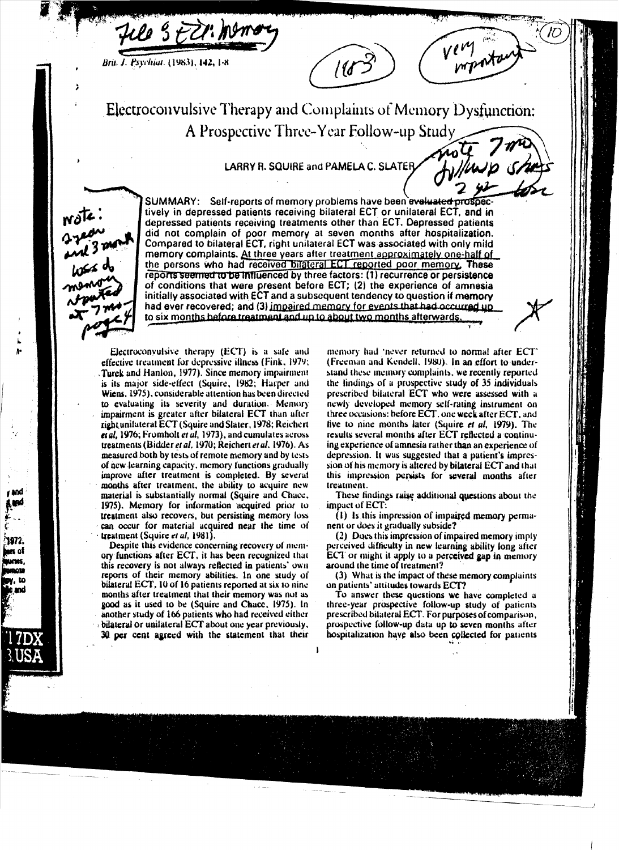

Brit. J. Psychiat. (1983), 142, 1-8



very tant

note Avillavio

Electroconvulsive Therapy and Complaints of Memory Dysfunction: A Prospective Three-Year Follow-up Study

**LARRY R. SQUIRE and PAMELA C. SLATER.** 



**SUMMARY:** Self-reports of memory problems have been evaluated prospectively in depressed patients receiving bilateral ECT or unilateral ECT, and in depressed patients receiving treatments other than ECT. Depressed patients did not complain of poor memory at seven months after hospitalization. Compared to bilateral ECT, right unilateral ECT was associated with only mild memory complaints. At three years after treatment approximately one-half of the persons who had received bilateral ECT reported poor memory. These reports seemed to be influenced by three factors: (1) recurrence or persistence of conditions that were present before ECT; (2) the experience of amnesia initially associated with ECT and a subsequent tendency to question if memory had ever recovered; and (3) impaired memory for events that had occurred up to six months before treatment and up to about two months afterwards.

I

Electroconvulsive therapy (ECT) is a safe and effective treatment for depressive illness (Fink, 1979; Turek and Hanlon, 1977). Since memory impairment is its major side-effect (Squire, 1982; Harper and Wiens, 1975), considerable attention has been directed to evaluating its severity and duration. Memory impairment is greater after bilateral ECT than after right unitateral ECT (Squire and Slater, 1978; Reichert et al. 1976; Fromholt et al. 1973), and cumulates across treatments (Bidder et al. 1970; Reichert et al. 1976). As measured both by tests of remote memory and by tests of new learning capacity, memory functions gradually improve after treatment is completed. By several months after treatment, the ability to acquire new material is substantially normal (Squire and Chace, 1975). Memory for information acquired prior to treatment also recovers, but persisting memory loss can occur for material acquired near the time of treatment (Squire et al, 1981).

Despite this evidence concerning recovery of memory functions after ECT, it has been recognized that this recovery is not always reflected in patients' own reports of their memory abilities. In one study of bilateral ECT, 10 of 16 patients reported at six to nine months after treatment that their memory was not as good as it used to be (Squire and Chace, 1975). In another study of 166 patients who had received either bilateral or unilateral ECT about one year previously, 30 per cent agreed with the statement that their

memory had 'never returned to normal after ECT' (Freeman and Kendell, 1980). In an effort to understand these memory complaints, we recently reported the lindings of a prospective study of 35 individuals prescribed bilateral ECT who were assessed with a newly developed memory self-rating instrument on three occasions: before ECT, one week after ECT, and five to nine months later (Squire et al. 1979). The results several months after ECT reflected a continuing experience of amnesia rather than an experience of depression. It was suggested that a patient's impression of his memory is altered by bilateral ECT and that this impression persists for several months after treatment.

These findings raise additional questions about the impact of ECT:

(1) Is this impression of impaired memory permanent or does it gradually subside?

(2) Does this impression of impaired memory imply perceived difficulty in new learning ability long after ECT or might it apply to a perceived gap in memory around the time of treatment?

(3) What is the impact of these memory complaints on patients' attitudes towards ECT?

To answer these questions we have completed a three-year prospective follow-up study of patients prescribed bilateral ECT. For purposes of comparison, prospective follow-up data up to seven months after hospitalization have also been collected for patients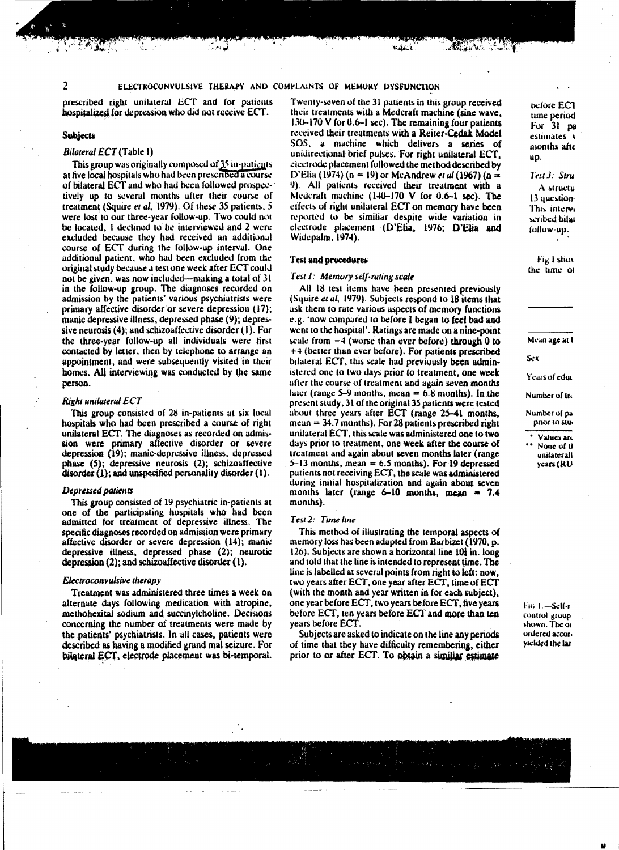prescribed right unilateral ECT and for patients hospitalized for depression who did not receive ECT.

### Subjects

# *Bilateral ECT* (Table I)

This group was originally composed of  $35$  in-patients at five local hospitals who had been prescribed a course. of bilateral ECT and who had been followed prospectively up to several months after their course of treatment (Squire et al. 1979). Of these 35 patients, 5 were lost to our three-year follow-up. Two could not be located, 1 declined to be interviewed and 2 were excluded because they had received an additional course of ECT during the follow-up interval. One additional patient, who had been excluded from the original study because a test one week after ECT could not be given, was now included—making a total of  $31$ in Ihe follow-up group. The diagnoses recorded on admission by the patients' various psychiatrists were primary affective disorder or severe depression (17); manic depressive illness, depressed phase (9); depressive neurosis  $(4)$ ; and schizoaffective disorder  $(1)$ . For the three-year follow-up all individuals were first contacted by letter, then by telephone to arrange an appointment, and were subsequently visited in their homes. All interviewing was conducted by the same person.

#### *Right unilateral ECT*

This group consisted of 2S in-patients at six local hospitals who had been prescribed a course of right unilateral ECT. The diagnoses as recorded on admission were primary affective disorder or severe depression (19); manic-depressive illness, depressed  $phase$  (5); depressive neurosis (2); schizoaffective disorder  $(1)$ ; and unspecified personality disorder  $(1)$ .

# **Depressed patients**

This group consisted of 19 psychiatric in-patients at one of the participating hospitals who had been admitted for trealment of depressive illness. The specific diagnoses recorded on admission were primary affective disorder or severe depression (14); manic depressive tIlness. depressed phase (2); neurotic depression  $(2)$ ; and schizoaffective disorder  $(1)$ .

# *£leclroconvuJsive ther"py*

Treatment was administered three times a week on alternate days following medication with atropine, methohexitai sodium and succinylcholine. Decisions concerning the number of treatments were made by the patients' psychiatrists. In all cases, patients were described as having a modified grand mal seizure. For bilateral ECT, electrode placement was bi-temporal.

Twenty-seven of the 31 patients in this group received their treatments with a Medcraft machine (sine wave,  $130-170$  V for 0.6-1 sec). The remaining four patients received their treatments with a Reiter-Cedak Model SOS, a machine which delivers a series of unidirectional brief pulses. For right unilateral ECT. electrode placement followed the method described by D'Elia (1974) (n = 19) or McAndrew *et al* (1967) (n  $=$ 9). All patients received their treatment with a Medcraft machine  $(140-170 \text{ V}$  for  $0.6-1$  sec). The effects of right unilateral ECT on memory have been reported to be similiar despite wide variation in clectrode placement (D'Elia, 1976; D'Elia and Widepalm. 1974).

## Test and procedures

# Test 1: Memory self-ruting scale

All 18 test items have been presented previously (Squire *el ul.* 1979). Subjecls respond to 18 items that ask. them to rate various aspects of memory functions e.g. 'now compared to before I began to feel bad and went to the hospital'. Ratings are made on a nine-point scale from  $-4$  (worse than ever before) through 0 to +4 (belter than ever before). For patients prescribed bilateral ECT, this scale had previously been administered one to two days prior to treatment, one week after the course of treatment and again seven months later (range  $5-9$  months, mean = 6.8 months). In the present study.31 of the original 35 patients were tested about three years after ECT (range 25-41 months,  $mean = 34.7$  months). For 28 patients prescribed right unilateral ECT. this scale was administered one to two days prior to treatment. one week after the course of treatment and again about seven months later (range 5-13 months, mean  $= 6.5$  months). For 19 depressed patients not receiving ECT, the scale was administered during initial hospitalization and again about seven months later (range  $6-10$  months, mean = 7.4 months).

## T~.st 2: *Time line*

This method of illustrating the temporal aspects of memory loss has been adapted from Barbizet (1970, p. 126). Subjects are shown a horizontal line 101 in. long and told that the line is intended to represent time. The line is labelled at several points from right to left: now. two years after ECT. one year after ECf. time of ECf (with the month and year written in for each subject). one year before ECT, two years before ECf. five years before ECT, ten years before ECT and more than ten<br>years before ECT. T, one year after ECT, time of ECT<br>nd year written in for each subject),<br>CT, two years before ECT, five years<br>vears before ECT and more than ten<br>ed to indicate on the line any periods<br>have difficulty remembering, either<br>E

Subjects are asked to indicate on the line any periods of time that they have difficulty remembering, either prior to or after ECT. To obtain a similiar estimate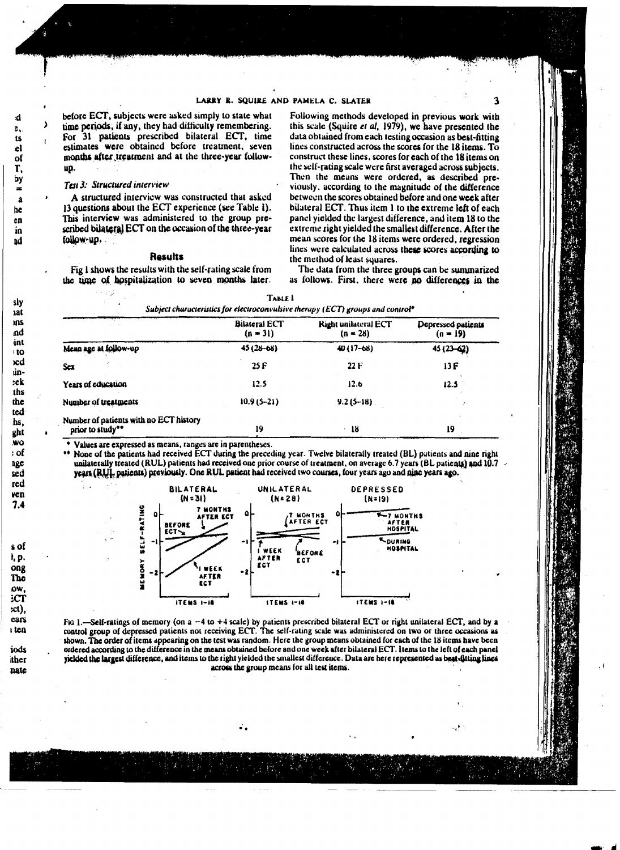before ECT, subjects were asked simply to state what time periods, if any, they had difficulty remembering. For 31 patients prescribed bilateral ECT, time estimates were obtained before treatment, seven months after treatment and at the three-year followup.

# Test 3: Structured interview

A structured interview was constructed that asked 13 questions about the ECT experience (see Table 1). This interview was administered to the group prescribed bilateral ECT on the occasion of the three-year follow-up.

### **Results**

Fig 1 shows the results with the self-rating scale from the time of hospitalization to seven months later.

Following methods developed in previous work with this scale (Squire et al, 1979), we have presented the data obtained from each testing occasion as best-fitting lines constructed across the scores for the 18 items.  $T_0$ construct these lines, scores for each of the 18 items on the self-rating scale were first averaged across subjects. Then the means were ordered, as described previously, according to the magnitude of the difference between the scores obtained before and one week after bilateral ECT. Thus item 1 to the extreme left of each panel yielded the largest difference, and item 18 to the extreme right yielded the smallest difference. After the mean scores for the 18 items were ordered, regression lines were calculated across these scores according to the method of least squares.

The data from the three groups can be summarized as follows. First, there were no differences in the

41

| Subject characteristics for electroconvulsive therapy (ECT) groups and control* |                                    |                                           |                                  |  |  |
|---------------------------------------------------------------------------------|------------------------------------|-------------------------------------------|----------------------------------|--|--|
|                                                                                 | <b>Bilateral ECT</b><br>$(n = 31)$ | <b>Right unilateral ECT</b><br>$(n = 28)$ | Depressed patients<br>$(n = 19)$ |  |  |
| Mean age at follow-up                                                           | $45(28 - 68)$                      | $40(17-68)$                               | 45 (23-62)                       |  |  |
| Sex                                                                             | 25F                                | 22F                                       | 13F                              |  |  |
| Years of education                                                              | 12.5                               | 12.6                                      | 12.5                             |  |  |
| Number of treatments                                                            | $10.9(5 - 21)$                     | $9.2(5 - 18)$                             | 25                               |  |  |
| Number of patients with no ECT history<br>prior to study**                      | 19                                 | 18                                        | 19                               |  |  |

| <b>IABLE L</b>                                                                              |
|---------------------------------------------------------------------------------------------|
| Subject characteristics for electroconvulsive therapy (ECT) groups and control <sup>®</sup> |
|                                                                                             |

Values are expressed as means, ranges are in parentheses.

None of the patients had received ECT during the preceding year. Twelve bilaterally treated (BL) patients and nine right unilaterally treated (RUL) patients had received one prior course of treatment, on average 6.7 years (BL patients) and  $10.7 \sim$ years (RUL patients) previously. One RUL patient had received two courses, four years ago and nine years ago.



Fig. 1.—Self-ratings of memory (on  $a - 4$  to +4 scale) by patients prescribed bilateral ECT or right unilateral ECT, and by a control group of depressed patients not receiving ECT. The self-rating scale was administered on two or three occasions as shown. The order of items appearing on the test was random. Here the group means obtained for each of the 18 items have been ordered according to the difference in the means obtained before and one week after bilateral ECT. Items to the left of each panel yielded the largest difference, and items to the right yielded the smallest difference. Data are here represented as best-fitting lines across the group means for all test items.

÷.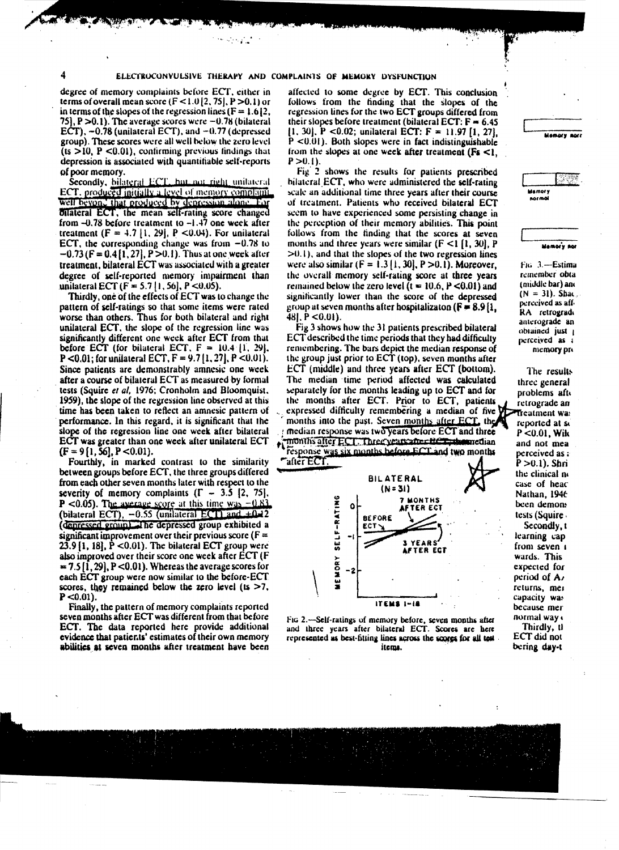$\mathcal{O}(\mathcal{O}(\log n))$ 

degree of memory complaints before ECT, either in terms of overall mean score  $(F < 1.0 | 2.75]$ , P > 0.1) or in terms of the slopes of the regression lines  $(F = 1.612)$ . 75,  $P > 0.1$ ). The average scores were  $-0.78$  (bilateral ECT),  $-0.78$  (unilateral ECT), and  $-0.77$  (depressed group). These scores were all well below the zero level  $(ts > 10, P < 0.01)$ , confirming previous findings that depression is associated with quantifiable self-reports of poor memory.

Secondly, bilateral ECT, hut not right unitateral ECT, produced initially a level of memory complaint. well beyon, that produced by depression alone. For bilateral ECT, the mean self-rating score changed from  $-0.78$  before treatment to  $-1.47$  one week after treatment  $(F = 4.7 | 1, 29]$ , P < 0.04). For unitateral ECT, the corresponding change was from  $-0.78$  to  $-0.73$  (F = 0.4 [1, 27], P > 0.1). Thus at one week after treatment, bilateral ECT was associated with a greater degree of self-reported memory impairment than unitateral ECT ( $F = 5.7$ |1, 56], P <0.05).

Thirdly, one of the effects of ECT was to change the pattern of self-ratings so that some items were rated worse than others. Thus for both bilateral and right unilateral ECT, the slope of the regression line was significantly different one week after ECT from that before ECT (for bilateral ECT,  $F = 10.4$  [1, 29], P <0.01; for unitateral ECT,  $F = 9.7(1, 27)$ ,  $P < 0.01$ ). Since patients are demonstrably amnesic one week after a course of bilateral ECT as measured by formal tests (Squire et al, 1976; Cronholm and Bloomquist, 1959), the slope of the regression line observed at this time has been taken to reflect an amnesic pattern of performance. In this regard, it is significant that the slope of the regression line one week after bilateral ECT was greater than one week after unilateral ECT  $(F = 9[1, 56], P < 0.01).$ 

Fourthly, in marked contrast to the similarity between groups before ECT, the three groups differed from each other seven months later with respect to the severity of memory complaints  $(\Gamma - 3.5 \, [2, 75])$ **P** <0.05). The average score at this time was  $-0.83$ (bilateral ECT),  $-0.55$  (unilateral ECT) and  $+0.12$ (denressed groun). The depressed group exhibited a significant improvement over their previous score ( $F =$  $23.9$  [1, 18], P <0.01). The bilateral ECT group were also improved over their score one week after ECT (F  $= 7.5[1, 29]$ , P < 0.01). Whereas the average scores for each ECT group were now similar to the before-ECT scores, they remained below the zero level ( $ts > 7$ ,  $P < 0.01$ ).

Finally, the pattern of memory complaints reported seven months after ECT was different from that before ECT. The data reported here provide additional evidence that patients' estimates of their own memory abilities at seven months after treatment have been affected to some degree by ECT. This conclusion follows from the finding that the slopes of the regression lines for the two ECT groups differed from their slopes before treatment (bilateral ECT:  $F = 6.45$ 11, 301, P <0.02; unilateral ECT:  $F = 11.97$  [1, 27].  $P < 0.01$ ). Both slopes were in fact indistinguishable from the slopes at one week after treatment ( $Fs < 1$ ,  $P > 0.1$ ).

Fig. 2 shows the results for patients prescribed bilateral ECT, who were administered the self-rating scale an additional time three years after their course of treatment. Patients who received bilateral ECT seem to have experienced some persisting change in the perception of their memory abilities. This point follows from the finding that the scores at seven months and three years were similar ( $F \le 1$  [1, 30]. P  $>0.1$ ), and that the slopes of the two regression lines were also similar  $(F = 1.3 [1, 30], P > 0.1)$ . Moreover, the overall memory self-rating score at three years remained below the zero level  $(t = 10.6, P < 0.01)$  and significantly lower than the score of the depressed group at seven months after hospitalizaton ( $F = 8.9[1]$ ,  $481. P < 0.01$ .

Fig 3 shows how the 31 patients prescribed bilateral ECT described the time periods that they had difficulty remembering. The bars depict the median response of the group just prior to  $ECT$  (top), seven months after ECT (middle) and three years after ECT (bottom). The median time period affected was calculated separately for the months leading up to ECT and for the months after ECT. Prior to ECT, patients expressed difficulty remembering a median of five  $\zeta$ months into the past. Seven months after ECT, the median response was two years before ECT and three months after ECT. Three years after HCT, the median response was six months before ECT and two months



Fig. 2.—Self-ratings of memory before, seven months after and three years after bilateral ECT. Scores are here represented as best-fitting lines across the scores for all test. items.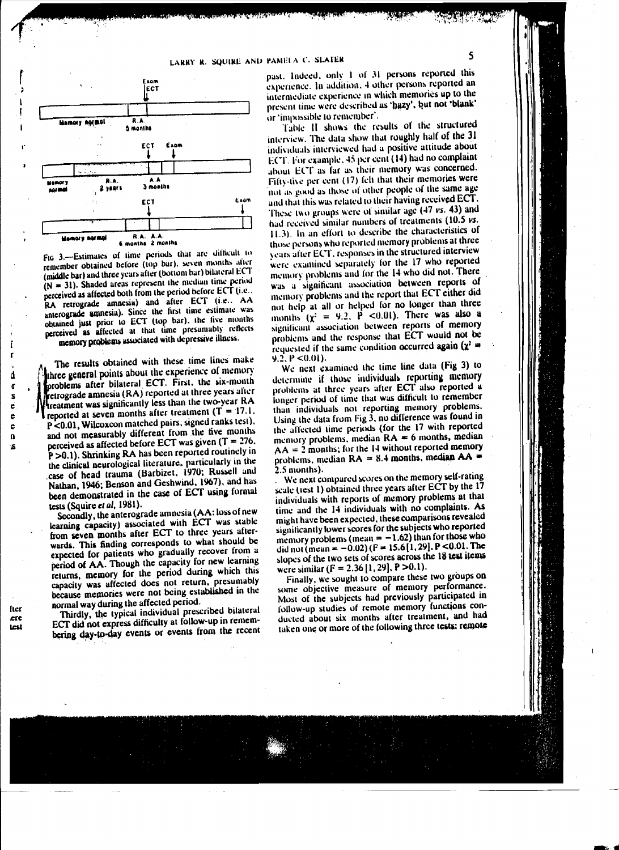

Fig. 3.-Estimates of time periods that are difficult to remember obtained before (top bar), seven months after (middle bar) and three years after (bottom bar) bilateral ECT  $(N = 31)$ . Shaded areas represent the median time period perceived as affected both from the period before ECT (i.e., RA retrograde amnesia) and after ECT (i.e., AA anterograde amnesia). Since the first time estimate was obtained just prior to ECT (top bar), the five months perceived as affected at that time presumably reflects memory problems associated with depressive illness.

The results obtained with these time lines make three general points about the experience of memory problems after bilateral ECT. First, the six-month retrograde amnesia (RA) reported at three years after treatment was significantly less than the two-year RA reported at seven months after treatment  $(T = 17.1$ . P<0.01, Wilcoxcon matched pairs, signed ranks test). and not measurably different from the five months perceived as affected before ECT was given  $(T = 276$ . P > 0.1). Shrinking RA has been reported routinely in the clinical neurological literature, particularly in the case of head trauma (Barbizet, 1970; Russell and Nathan, 1946; Benson and Geshwind, 1967), and has been demonstrated in the case of ECT using formal tests (Squire et al. 1981).

Secondly, the anterograde amnesia (AA: loss of new learning capacity) associated with ECT was stable from seven months after ECT to three years afterwards. This finding corresponds to what should be expected for patients who gradually recover from a period of AA. Though the capacity for new learning returns, memory for the period during which this capacity was affected does not return, presumably because memories were not being established in the normal way during the affected period.

Thirdly, the typical individual prescribed bilateral ECT did not express difficulty at follow-up in remembering day-to-day events or events from the recent

past. Indeed, only 1 of 31 persons reported this experience. In addition, 4 other persons reported an intermediate experience in which memories up to the present time were described as 'hazy', but not 'blank' or 'impossible to remember'.

Table II shows the results of the structured interview. The data show that roughly half of the 31 individuals interviewed had a positive attitude about ECT. For example, 45 per cent (14) had no complaint about ECT as far as their memory was concerned. Fifty-five per cent (17) felt that their memories were not as good as those of other people of the same age and that this was related to their having received ECT. These two groups were of similar age (47 vs. 43) and had received similar numbers of treatments (10.5 vs. 11.3). In an effort to describe the characteristics of those persons who reported memory problems at three years after ECT, responses in the structured interview were examined separately for the 17 who reported memory problems and for the 14 who did not. There was a significant association between reports of memory problems and the report that ECT either did not help at all or helped for no longer than three months  $(x^2 = 9.2, P < 0.01)$ . There was also a significant association between reports of memory problems and the response that ECT would not be requested if the same condition occurred again  $(\chi^2 =$  $9.2, P < 0.01$ ).

We next examined the time line data (Fig 3) to determine if those individuals reporting memory problems at three years after ECT also reported a longer period of time that was difficult to remember than individuals not reporting memory problems. Using the data from Fig 3, no difference was found in the affected time periods (for the 17 with reported memory problems, median  $RA = 6$  months, median  $AA = 2$  months; for the 14 without reported memory problems, median  $RA = 8.4$  months, median  $AA =$ 2.5 months).

We next compared scores on the memory self-rating scale (test 1) obtained three years after ECT by the 17 individuals with reports of memory problems at that time and the 14 individuals with no complaints. As might have been expected, these comparisons revealed significantly lower scores for the subjects who reported memory problems (mean  $= -1.62$ ) than for those who did not (mean = -0.02) ( $F = 15.6[1, 29]$ , P <0.01. The slopes of the two sets of scores across the 18 test items were similar ( $F = 2.36$  [1, 29], P >0.1).

Finally, we sought to compare these two groups on some objective measure of memory performance. Most of the subjects had previously participated in follow-up studies of remote memory functions conducted about six months after treatment, and had taken one or more of the following three tests: remote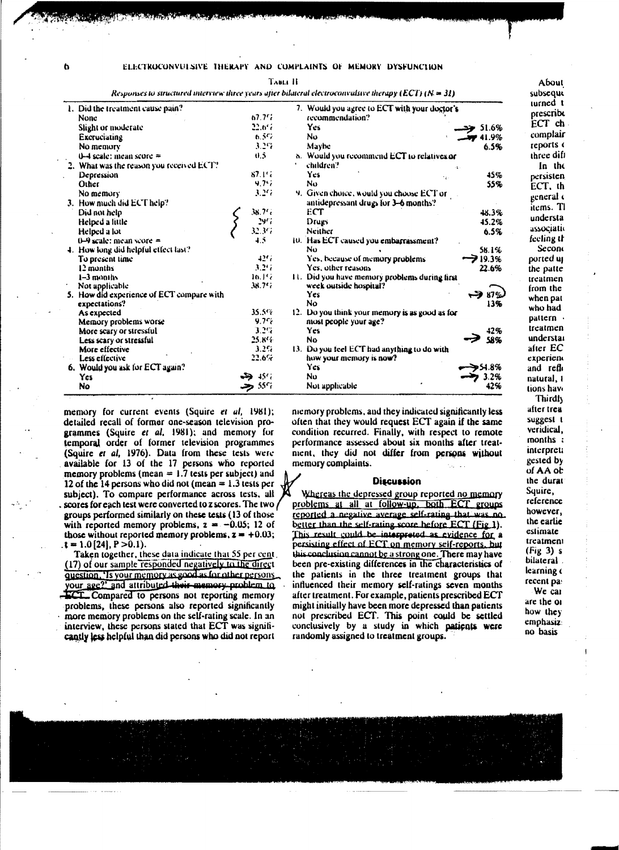$\mathbf b$ 

#### ELECTROCONVULSIVE THERAPY AND COMPLAINTS OF MEMORY DYSFUNCTION

**TABLE H** 

Responses to structured interview three years after bilateral electroconvalsive therapy (ECT) ( $N = 31$ )

| 1. Did the treatment cause pain?          |                   | 7. Would you agree to ECT with your doctor's   |  |
|-------------------------------------------|-------------------|------------------------------------------------|--|
| <b>None</b>                               | 67.7 <sup>c</sup> | recommendation?                                |  |
| Slight or moderate                        | 22.6%             | Yes.<br>51.6%                                  |  |
| Excruciating                              | 6.57              | Nυ<br>41.9%                                    |  |
| No memory                                 | 3.29              | Maybe<br>6.5%                                  |  |
| $0-4$ scale: mean score $=$               | 0.5               | 8. Would you recommend ECT to relatives or     |  |
|                                           |                   | children?                                      |  |
| 2. What was the reason you received ECT?  | 87. LG            | Yes.                                           |  |
| Depression                                | 9.7%              | 45%<br>٠,<br>No                                |  |
| Other                                     |                   | 55%                                            |  |
| No memory                                 | $3.2\%$           | 9. Given choice, would you choose ECT or       |  |
| 3. How much did ECT help?                 |                   | antidepressant drugs for 3-6 months?           |  |
| Did not help                              | 38.7%             | ECT<br>48.3%                                   |  |
| Helped a little                           | $29\%$            | 45.2%<br>Drugs                                 |  |
| Helped a lot                              | 32.377            | <b>Neither</b><br>6.5%                         |  |
| $0-9$ scale: mean score =                 | 4.5               | 10. Has ECT caused you embarrassment?          |  |
| 4. How long did helpful effect last?      |                   | No.<br>58.1%                                   |  |
| To present time                           | 42%               | $-219.3%$<br>Yes, because of memory problems.  |  |
| 12 months                                 | 3.26              | Yes, other reasons<br>22.6%                    |  |
| $1 - 3$ months                            | $10.1\%$          | 11. Did you have memory problems during first  |  |
| Not applicable                            | 38.7%             | week outside hospital?                         |  |
| 5. How did experience of ECT compare with |                   | Yes<br>87%                                     |  |
| expectations?                             |                   | <b>No</b><br>13%                               |  |
| As expected                               | 35.5%             | 12. Do you think your memory is as good as for |  |
| Memory problems worse                     | 9.7%              | most people your age?                          |  |
| More scary or stressful                   | 3.2%              | Yes<br>42%                                     |  |
| Less scary or stressful                   | 25.8%             | 58%<br>No.                                     |  |
| More effective                            | 3.2%              | 13. Do you feel ECT had anything to do with    |  |
| Less effective                            | 22.6%             | how your memory is now?                        |  |
| 6. Would you ask for ECT again?           |                   | Yes<br>54.8%                                   |  |
| Yes:                                      | ، ۱۶۰ هخه         | Nυ<br>3.2%                                     |  |
| No                                        | 55% جد            | Not applicable<br>42%                          |  |

memory for current events (Squire et al. 1981); detailed recall of former one-season television programmes (Squire et al. 1981); and memory for temporal order of former television programmes (Squire et al. 1976). Data from these tests were available for 13 of the 17 persons who reported memory problems (mean  $= 1.7$  tests per subject) and 12 of the 14 persons who did not (mean  $= 1.3$  tests per subiect). To compare performance across tests, all , scores for each test were converted to z scores. The two / groups performed similarly on these tests (13 of those with reported memory problems,  $z = -0.05$ ; 12 of those without reported memory problems,  $z = +0.03$ ;  $\mathbf{t} = 1.0$  [24],  $\mathbf{P} > 0.1$ ).

Taken together, these data indicate that 55 per cent. (17) of our sample responded negatively to the direct question, 'Is your memory as good as for other persons your age?' and attributed their memory problem to **ECT**. Compared to persons not reporting memory problems, these persons also reported significantly more memory problems on the self-rating scale. In an interview, these persons stated that ECT was significantly less helpful than did persons who did not report

memory problems, and they indicated significantly less often that they would request ECT again if the same condition recurred. Finally, with respect to remote performance assessed about six months after treatment, they did not differ from persons without memory complaints.

# Discussion

Whereas the depressed group reported no memory problems at all at follow-up, both ECT groups reported a negative average self-rating that was no better than the self-rating score hefore ECT (Fig.1). This result could be interpreted as evidence for a persisting effect of ECT on memory self-reports, but this conclusion cannot be a strong one. There may have been pre-existing differences in the characteristics of the patients in the three treatment groups that influenced their memory self-ratings seven months after treatment. For example, patients prescribed ECT might initially have been more depressed than patients not prescribed ECT. This point could be settled conclusively by a study in which patients were randomly assigned to treatment groups.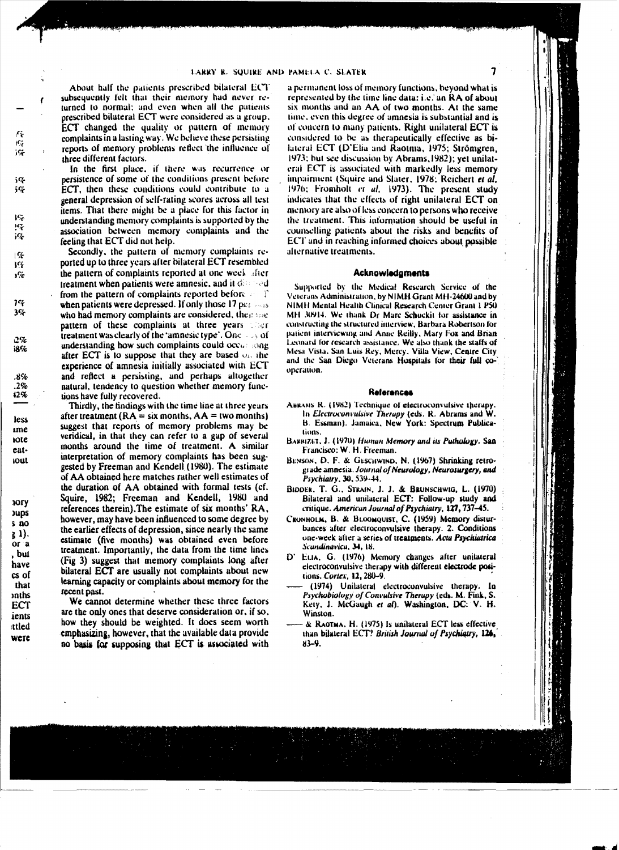About half the patients prescribed bilateral ECT subsequently felt that their memory had never refurned to normal; and even when all the patients prescribed bilateral ECT were considered as a group. ECT changed the quality or pattern of memory complaints in a lasting way. We believe these persisting reports of memory problems reflect the influence of three different factors.

In the first place, if there was recurrence or persistence of some of the conditions present before ECT, then these conditions could contribute to a general depression of self-rating scores across all test items. That there might be a place for this factor in understanding memory complaints is supported by the association between memory complaints and the feeling that ECT did not help.

Secondly, the pattern of memory complaints reported up to three years after bilateral ECT resembled the pattern of complaints reported at one week after treatment when patients were amnesic, and it  $\phi$  and  $\phi$ from the pattern of complaints reported before  $\mathbb{R}^n$ when patients were depressed. If only those 17  $pc \sim s$ who had memory complaints are considered, then see pattern of these complaints at three years that treatment was clearly of the 'amnesic type'. One  $\rightarrow$  of understanding how such complaints could occurrence after ECT is to suppose that they are based  $\omega_1$  the experience of amnesia initially associated with ECT and reflect a persisting, and perhaps altogether natural, tendency to question whether memory functions have fully recovered.

Thirdly, the findings with the time line at three years after treatment ( $RA = six$  months,  $AA = two$  months) suggest that reports of memory problems may be veridical, in that they can refer to a gap of several months around the time of treatment. A similar interpretation of memory complaints has been suggested by Freeman and Kendell (1980). The estimate of AA obtained here matches rather well estimates of the duration of AA obtained with formal tests (cf. Squire, 1982; Freeman and Kendell, 1980 and references therein). The estimate of six months' RA, however, may have been influenced to some degree by the earlier effects of depression, since nearly the same estimate (five months) was obtained even before treatment. Importantly, the data from the time lines (Fig 3) suggest that memory complaints long after bilateral ECT are usually not complaints about new learning capacity or complaints about memory for the recent past.

We cannot determine whether these three factors are the only ones that deserve consideration or, if so, how they should be weighted. It does seem worth emphasizing, however, that the available data provide no basis for supposing that ECT is associated with

a permanent loss of memory functions, beyond what is represented by the time line data: i.e. an RA of about six months and an AA of two months. At the same time, even this degree of amnesia is substantial and is of concern to many patients. Right unilateral ECT is considered to be as therapeutically effective as bilateral ECT (D'Elia and Raotma, 1975; Strömgren, 1973; but see discussion by Abrams, 1982); yet unilateral ECT is associated with markedly less memory impairment (Squire and Slater, 1978; Reichert et al, 1976; Fromholt et al, 1973). The present study indicates that the effects of right unilateral ECT on memory are also of less concern to persons who receive the treatment. This information should be useful in counselling patients about the risks and benefits of ECT and in reaching informed choices about possible alternative treatments.

### Acknowledgments

Supported by the Medical Research Service of the Veterans Administration, by NIMH Grant MH-24600 and by NIMH Mental Health Clinical Research Center Grant 1 P50 MH 30914. We thank Dr Marc Schuckit for assistance in constructing the structured interview, Barbara Robertson for patient interviewing and Anne Reilly, Mary Fox and Brian Leonard for research assistance. We also thank the staffs of Mesa Vista, San Luis Rey, Mercy, Villa View, Centre City and the San Diego Veterans Hospitals for their full cooperation.

#### **References**

- ABRANS R. (1982) Technique of electroconvulsive therapy. In Electroconvulsive Therapy (eds. R. Abrams and W. B. Essman). Jamaica, New York: Spectrum Publications.
- BARBIZET, J. (1970) Human Memory and its Pathology. San Francisco: W. H. Freeman.
- BENSON, D. F. & GESCHWIND, N. (1967) Shrinking retrograde amnesia. Journal of Neurology, Neurosurgery, and Psychiatry, 30, 539-44.
- BIDDER, T. G., STRAIN, J. J. & BRUNSCHWIG, L. (1970) Bilateral and unilateral ECT: Follow-up study and critique. American Journal of Psychiatry, 127, 737-45.
- Скомногм, В. & Broomquist, C. (1959) Memory disturbances after electroconvulsive therapy. 2. Conditions one-week after a series of treatments. Acta Psychiatrica Scandinavica, 34, 18.
- D' ELIA, G. (1976) Memory changes after unilateral electroconvulsive therapy with different electrode positions. Cortex, 12, 280-9.
- (1974) Unilateral electroconvulsive therapy. In Psychobiology of Convulsive Therapy (eds. M. Fink, S. Kety, J. McGaugh et al). Washington, DC: V. H. Winston.
- & RAOTMA, H. (1975) Is unilateral ECT less effective than bilateral ECT? British Journal of Psychiatry, 126,  $83 - 9.$